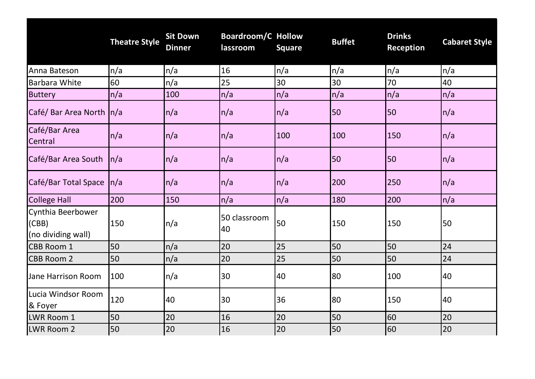|                                                  | <b>Theatre Style</b> | <b>Sit Down</b><br><b>Dinner</b> | <b>Boardroom/C Hollow</b><br>lassroom | <b>Square</b>     | <b>Buffet</b> | <b>Drinks</b><br><b>Reception</b> | <b>Cabaret Style</b> |
|--------------------------------------------------|----------------------|----------------------------------|---------------------------------------|-------------------|---------------|-----------------------------------|----------------------|
| Anna Bateson                                     | n/a                  | n/a                              | 16                                    | n/a               | n/a           | n/a                               | n/a                  |
| <b>Barbara White</b>                             | 60                   | n/a                              | 25                                    | 30                | 30            | 70                                | 40                   |
| <b>Buttery</b>                                   | n/a                  | 100                              | n/a                                   | n/a               | n/a           | n/a                               | n/a                  |
| Café/ Bar Area North   n/a                       |                      | $\ln/a$                          | n/a                                   | $\vert n/a \vert$ | 50            | 50                                | n/a                  |
| Café/Bar Area<br>Central                         | n/a                  | $\ln/a$                          | n/a                                   | 100               | 100           | 150                               | $\vert n/a$          |
| Café/Bar Area South                              | n/a                  | $\ln/a$                          | n/a                                   | n/a               | 50            | 50                                | n/a                  |
| Café/Bar Total Space                             | $\vert n/a \vert$    | $\ln/a$                          | n/a                                   | $\vert n/a$       | 200           | 250                               | n/a                  |
| <b>College Hall</b>                              | 200                  | 150                              | n/a                                   | n/a               | 180           | 200                               | n/a                  |
| Cynthia Beerbower<br>(CBB)<br>(no dividing wall) | 150                  | $\ln/a$                          | 50 classroom<br>40                    | 50                | 150           | 150                               | 50                   |
| <b>CBB Room 1</b>                                | 50                   | n/a                              | 20                                    | 25                | 50            | 50                                | 24                   |
| <b>CBB Room 2</b>                                | 50                   | n/a                              | 20                                    | 25                | 50            | 50                                | 24                   |
| Jane Harrison Room                               | 100                  | $\ln/a$                          | 30                                    | 40                | 80            | 100                               | 40                   |
| Lucia Windsor Room<br>& Foyer                    | 120                  | 40                               | 30                                    | 36                | 80            | 150                               | 40                   |
| LWR Room 1                                       | 50                   | 20                               | 16                                    | 20                | 50            | 60                                | 20                   |
| LWR Room 2                                       | 50                   | 20                               | 16                                    | 20                | 50            | 60                                | 20                   |